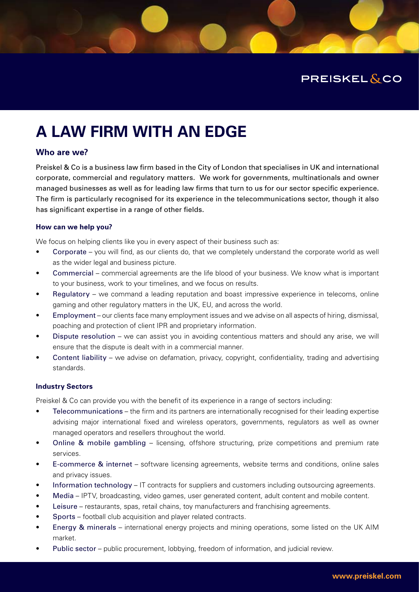

# **A LAW FIRM WITH AN EDGE**

# **Who are we?**

Preiskel & Co is a business law firm based in the City of London that specialises in UK and international corporate, commercial and regulatory matters. We work for governments, multinationals and owner managed businesses as well as for leading law firms that turn to us for our sector specific experience. The firm is particularly recognised for its experience in the telecommunications sector, though it also has significant expertise in a range of other fields.

# **How can we help you?**

We focus on helping clients like you in every aspect of their business such as:

- Corporate you will find, as our clients do, that we completely understand the corporate world as well as the wider legal and business picture.
- Commercial commercial agreements are the life blood of your business. We know what is important to your business, work to your timelines, and we focus on results.
- Regulatory we command a leading reputation and boast impressive experience in telecoms, online gaming and other regulatory matters in the UK, EU, and across the world.
- Employment our clients face many employment issues and we advise on all aspects of hiring, dismissal, poaching and protection of client IPR and proprietary information.
- Dispute resolution we can assist you in avoiding contentious matters and should any arise, we will ensure that the dispute is dealt with in a commercial manner.
- Content liability we advise on defamation, privacy, copyright, confidentiality, trading and advertising standards.

# **Industry Sectors**

Preiskel & Co can provide you with the benefit of its experience in a range of sectors including:

- Telecommunications the firm and its partners are internationally recognised for their leading expertise advising major international fixed and wireless operators, governments, regulators as well as owner managed operators and resellers throughout the world.
- Online & mobile gambling licensing, offshore structuring, prize competitions and premium rate services.
- E-commerce & internet software licensing agreements, website terms and conditions, online sales and privacy issues.
- Information technology IT contracts for suppliers and customers including outsourcing agreements.
- Media IPTV, broadcasting, video games, user generated content, adult content and mobile content.
- Leisure restaurants, spas, retail chains, toy manufacturers and franchising agreements.
- Sports football club acquisition and player related contracts.
- Energy & minerals international energy projects and mining operations, some listed on the UK AIM market.
- Public sector public procurement, lobbying, freedom of information, and judicial review.